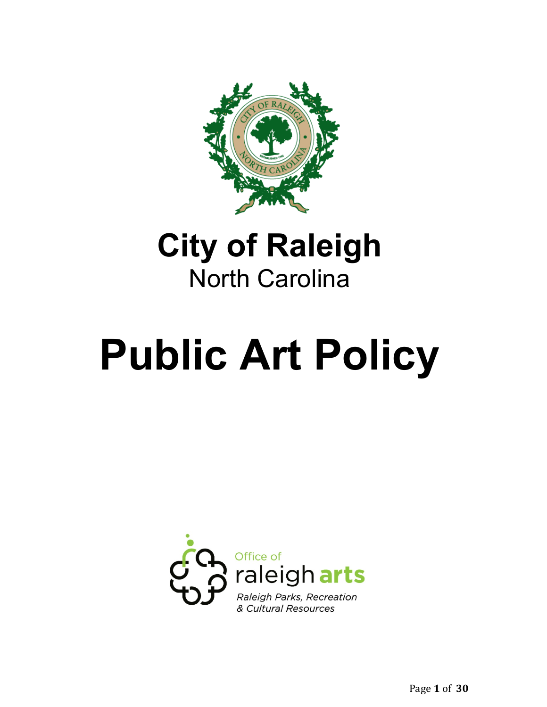

# **City of Raleigh** North Carolina

# **Public Art Policy**

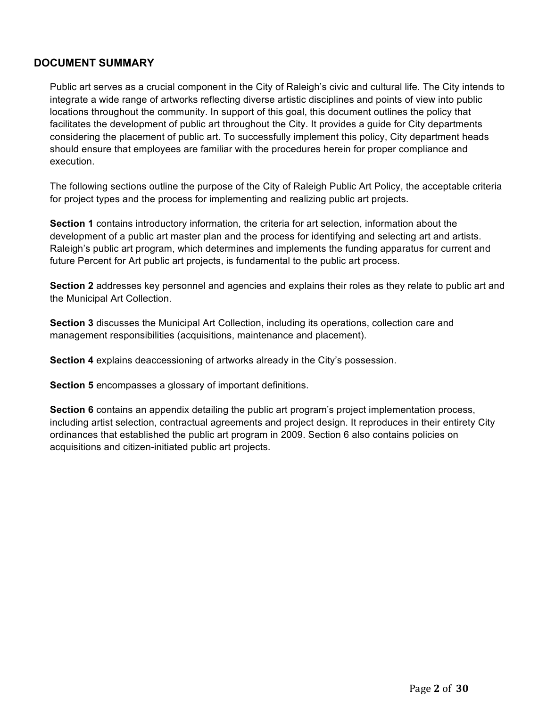# **DOCUMENT SUMMARY**

Public art serves as a crucial component in the City of Raleigh's civic and cultural life. The City intends to integrate a wide range of artworks reflecting diverse artistic disciplines and points of view into public locations throughout the community. In support of this goal, this document outlines the policy that facilitates the development of public art throughout the City. It provides a guide for City departments considering the placement of public art. To successfully implement this policy, City department heads should ensure that employees are familiar with the procedures herein for proper compliance and execution.

The following sections outline the purpose of the City of Raleigh Public Art Policy, the acceptable criteria for project types and the process for implementing and realizing public art projects.

**Section 1** contains introductory information, the criteria for art selection, information about the development of a public art master plan and the process for identifying and selecting art and artists. Raleigh's public art program, which determines and implements the funding apparatus for current and future Percent for Art public art projects, is fundamental to the public art process.

**Section 2** addresses key personnel and agencies and explains their roles as they relate to public art and the Municipal Art Collection.

**Section 3** discusses the Municipal Art Collection, including its operations, collection care and management responsibilities (acquisitions, maintenance and placement).

**Section 4** explains deaccessioning of artworks already in the City's possession.

**Section 5** encompasses a glossary of important definitions.

**Section 6** contains an appendix detailing the public art program's project implementation process, including artist selection, contractual agreements and project design. It reproduces in their entirety City ordinances that established the public art program in 2009. Section 6 also contains policies on acquisitions and citizen-initiated public art projects.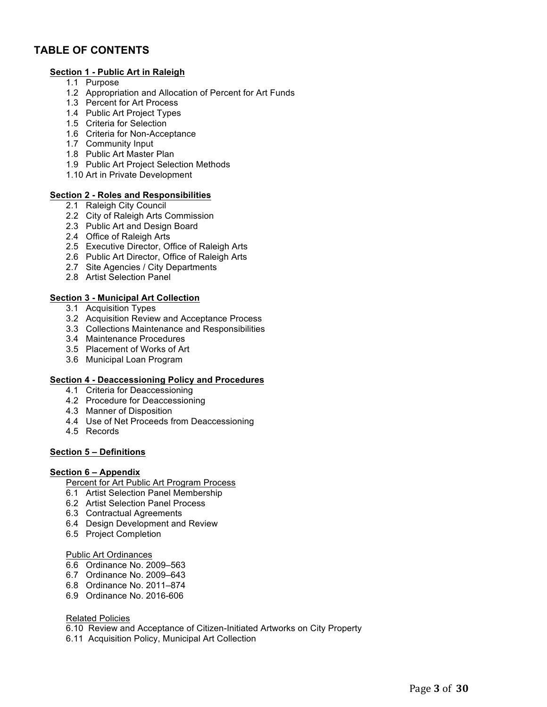# **TABLE OF CONTENTS**

#### **Section 1 - Public Art in Raleigh**

- 1.1Purpose
- 1.2 Appropriation and Allocation of Percent for Art Funds
- 1.3 Percent for Art Process
- 1.4 Public Art Project Types
- 1.5 Criteria for Selection
- 1.6 Criteria for Non-Acceptance
- 1.7 Community Input
- 1.8 Public Art Master Plan
- 1.9 Public Art Project Selection Methods
- 1.10 Art in Private Development

#### **Section 2 - Roles and Responsibilities**

- 2.1 Raleigh City Council
- 2.2 City of Raleigh Arts Commission
- 2.3 Public Art and Design Board
- 2.4 Office of Raleigh Arts
- 2.5 Executive Director, Office of Raleigh Arts
- 2.6 Public Art Director, Office of Raleigh Arts
- 2.7 Site Agencies / City Departments
- 2.8 Artist Selection Panel

#### **Section 3 - Municipal Art Collection**

- 3.1 Acquisition Types
- 3.2 Acquisition Review and Acceptance Process
- 3.3 Collections Maintenance and Responsibilities
- 3.4 Maintenance Procedures
- 3.5 Placement of Works of Art
- 3.6 Municipal Loan Program

#### **Section 4 - Deaccessioning Policy and Procedures**

- 4.1 Criteria for Deaccessioning
- 4.2 Procedure for Deaccessioning
- 4.3 Manner of Disposition
- 4.4 Use of Net Proceeds from Deaccessioning
- 4.5 Records

#### **Section 5 – Definitions**

#### **Section 6 – Appendix**

- Percent for Art Public Art Program Process
- 6.1 Artist Selection Panel Membership
- 6.2 Artist Selection Panel Process
- 6.3 Contractual Agreements
- 6.4 Design Development and Review
- 6.5 Project Completion

#### Public Art Ordinances

- 6.6Ordinance No. 2009–563
- 6.7 Ordinance No. 2009–643
- 6.8 Ordinance No. 2011–874
- 6.9 Ordinance No. 2016-606

#### Related Policies

- 6.10 Review and Acceptance of Citizen-Initiated Artworks on City Property
- 6.11 Acquisition Policy, Municipal Art Collection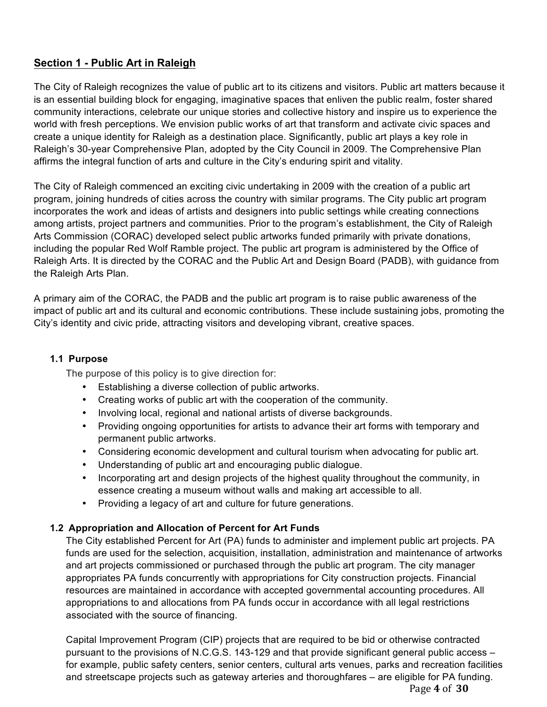# **Section 1 - Public Art in Raleigh**

The City of Raleigh recognizes the value of public art to its citizens and visitors. Public art matters because it is an essential building block for engaging, imaginative spaces that enliven the public realm, foster shared community interactions, celebrate our unique stories and collective history and inspire us to experience the world with fresh perceptions. We envision public works of art that transform and activate civic spaces and create a unique identity for Raleigh as a destination place. Significantly, public art plays a key role in Raleigh's 30-year Comprehensive Plan, adopted by the City Council in 2009. The Comprehensive Plan affirms the integral function of arts and culture in the City's enduring spirit and vitality.

The City of Raleigh commenced an exciting civic undertaking in 2009 with the creation of a public art program, joining hundreds of cities across the country with similar programs. The City public art program incorporates the work and ideas of artists and designers into public settings while creating connections among artists, project partners and communities. Prior to the program's establishment, the City of Raleigh Arts Commission (CORAC) developed select public artworks funded primarily with private donations, including the popular Red Wolf Ramble project. The public art program is administered by the Office of Raleigh Arts. It is directed by the CORAC and the Public Art and Design Board (PADB), with guidance from the Raleigh Arts Plan.

A primary aim of the CORAC, the PADB and the public art program is to raise public awareness of the impact of public art and its cultural and economic contributions. These include sustaining jobs, promoting the City's identity and civic pride, attracting visitors and developing vibrant, creative spaces.

#### **1.1 Purpose**

The purpose of this policy is to give direction for:

- Establishing a diverse collection of public artworks.
- Creating works of public art with the cooperation of the community.
- Involving local, regional and national artists of diverse backgrounds.
- Providing ongoing opportunities for artists to advance their art forms with temporary and permanent public artworks.
- Considering economic development and cultural tourism when advocating for public art.
- Understanding of public art and encouraging public dialogue.
- Incorporating art and design projects of the highest quality throughout the community, in essence creating a museum without walls and making art accessible to all.
- Providing a legacy of art and culture for future generations.

#### **1.2 Appropriation and Allocation of Percent for Art Funds**

The City established Percent for Art (PA) funds to administer and implement public art projects. PA funds are used for the selection, acquisition, installation, administration and maintenance of artworks and art projects commissioned or purchased through the public art program. The city manager appropriates PA funds concurrently with appropriations for City construction projects. Financial resources are maintained in accordance with accepted governmental accounting procedures. All appropriations to and allocations from PA funds occur in accordance with all legal restrictions associated with the source of financing.

Capital Improvement Program (CIP) projects that are required to be bid or otherwise contracted pursuant to the provisions of N.C.G.S. 143-129 and that provide significant general public access – for example, public safety centers, senior centers, cultural arts venues, parks and recreation facilities and streetscape projects such as gateway arteries and thoroughfares – are eligible for PA funding.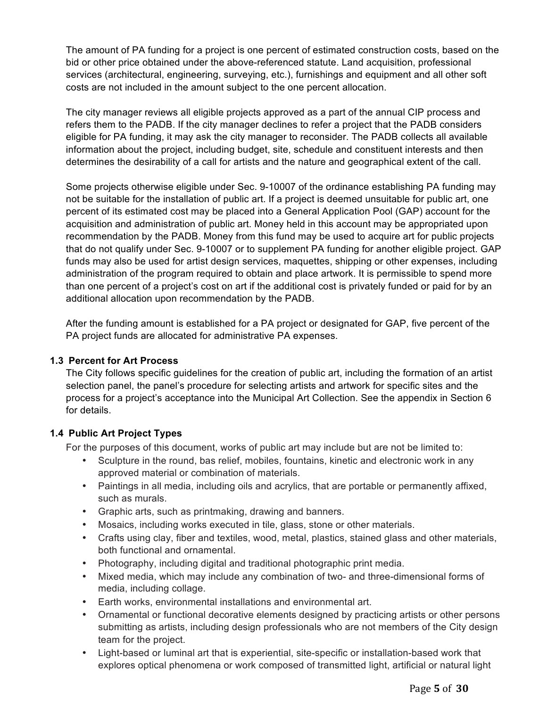The amount of PA funding for a project is one percent of estimated construction costs, based on the bid or other price obtained under the above-referenced statute. Land acquisition, professional services (architectural, engineering, surveying, etc.), furnishings and equipment and all other soft costs are not included in the amount subject to the one percent allocation.

The city manager reviews all eligible projects approved as a part of the annual CIP process and refers them to the PADB. If the city manager declines to refer a project that the PADB considers eligible for PA funding, it may ask the city manager to reconsider. The PADB collects all available information about the project, including budget, site, schedule and constituent interests and then determines the desirability of a call for artists and the nature and geographical extent of the call.

Some projects otherwise eligible under Sec. 9-10007 of the ordinance establishing PA funding may not be suitable for the installation of public art. If a project is deemed unsuitable for public art, one percent of its estimated cost may be placed into a General Application Pool (GAP) account for the acquisition and administration of public art. Money held in this account may be appropriated upon recommendation by the PADB. Money from this fund may be used to acquire art for public projects that do not qualify under Sec. 9-10007 or to supplement PA funding for another eligible project. GAP funds may also be used for artist design services, maquettes, shipping or other expenses, including administration of the program required to obtain and place artwork. It is permissible to spend more than one percent of a project's cost on art if the additional cost is privately funded or paid for by an additional allocation upon recommendation by the PADB.

After the funding amount is established for a PA project or designated for GAP, five percent of the PA project funds are allocated for administrative PA expenses.

# **1.3 Percent for Art Process**

The City follows specific guidelines for the creation of public art, including the formation of an artist selection panel, the panel's procedure for selecting artists and artwork for specific sites and the process for a project's acceptance into the Municipal Art Collection. See the appendix in Section 6 for details.

# **1.4 Public Art Project Types**

For the purposes of this document, works of public art may include but are not be limited to:

- Sculpture in the round, bas relief, mobiles, fountains, kinetic and electronic work in any approved material or combination of materials.
- Paintings in all media, including oils and acrylics, that are portable or permanently affixed, such as murals.
- Graphic arts, such as printmaking, drawing and banners.
- Mosaics, including works executed in tile, glass, stone or other materials.
- Crafts using clay, fiber and textiles, wood, metal, plastics, stained glass and other materials, both functional and ornamental.
- Photography, including digital and traditional photographic print media.
- Mixed media, which may include any combination of two- and three-dimensional forms of media, including collage.
- Earth works, environmental installations and environmental art.
- Ornamental or functional decorative elements designed by practicing artists or other persons submitting as artists, including design professionals who are not members of the City design team for the project.
- Light-based or luminal art that is experiential, site-specific or installation-based work that explores optical phenomena or work composed of transmitted light, artificial or natural light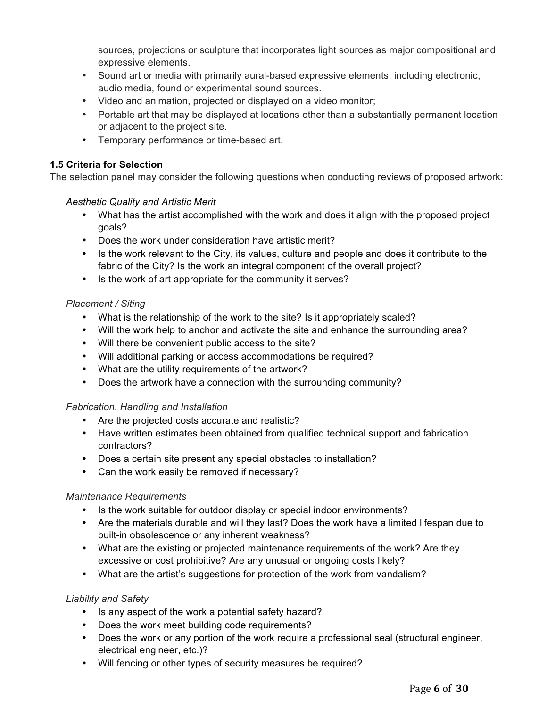sources, projections or sculpture that incorporates light sources as major compositional and expressive elements.

- Sound art or media with primarily aural-based expressive elements, including electronic, audio media, found or experimental sound sources.
- Video and animation, projected or displayed on a video monitor;
- Portable art that may be displayed at locations other than a substantially permanent location or adjacent to the project site.
- Temporary performance or time-based art.

# **1.5 Criteria for Selection**

The selection panel may consider the following questions when conducting reviews of proposed artwork:

#### *Aesthetic Quality and Artistic Merit*

- What has the artist accomplished with the work and does it align with the proposed project goals?
- Does the work under consideration have artistic merit?
- Is the work relevant to the City, its values, culture and people and does it contribute to the fabric of the City? Is the work an integral component of the overall project?
- Is the work of art appropriate for the community it serves?

# *Placement / Siting*

- What is the relationship of the work to the site? Is it appropriately scaled?
- Will the work help to anchor and activate the site and enhance the surrounding area?
- Will there be convenient public access to the site?
- Will additional parking or access accommodations be required?
- What are the utility requirements of the artwork?
- Does the artwork have a connection with the surrounding community?

#### *Fabrication, Handling and Installation*

- Are the projected costs accurate and realistic?
- Have written estimates been obtained from qualified technical support and fabrication contractors?
- Does a certain site present any special obstacles to installation?
- Can the work easily be removed if necessary?

#### *Maintenance Requirements*

- Is the work suitable for outdoor display or special indoor environments?
- Are the materials durable and will they last? Does the work have a limited lifespan due to built-in obsolescence or any inherent weakness?
- What are the existing or projected maintenance requirements of the work? Are they excessive or cost prohibitive? Are any unusual or ongoing costs likely?
- What are the artist's suggestions for protection of the work from vandalism?

#### *Liability and Safety*

- Is any aspect of the work a potential safety hazard?
- Does the work meet building code requirements?
- Does the work or any portion of the work require a professional seal (structural engineer, electrical engineer, etc.)?
- Will fencing or other types of security measures be required?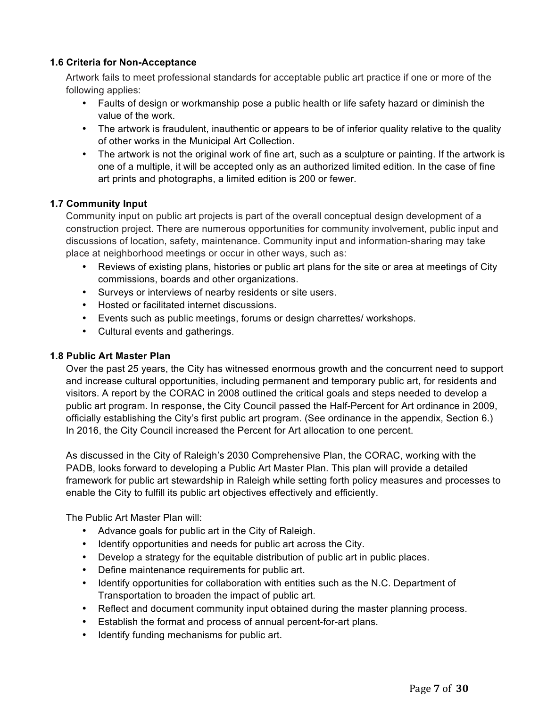# **1.6 Criteria for Non-Acceptance**

Artwork fails to meet professional standards for acceptable public art practice if one or more of the following applies:

- Faults of design or workmanship pose a public health or life safety hazard or diminish the value of the work.
- The artwork is fraudulent, inauthentic or appears to be of inferior quality relative to the quality of other works in the Municipal Art Collection.
- The artwork is not the original work of fine art, such as a sculpture or painting. If the artwork is one of a multiple, it will be accepted only as an authorized limited edition. In the case of fine art prints and photographs, a limited edition is 200 or fewer.

# **1.7 Community Input**

Community input on public art projects is part of the overall conceptual design development of a construction project. There are numerous opportunities for community involvement, public input and discussions of location, safety, maintenance. Community input and information-sharing may take place at neighborhood meetings or occur in other ways, such as:

- Reviews of existing plans, histories or public art plans for the site or area at meetings of City commissions, boards and other organizations.
- Surveys or interviews of nearby residents or site users.
- Hosted or facilitated internet discussions.
- Events such as public meetings, forums or design charrettes/ workshops.
- Cultural events and gatherings.

#### **1.8 Public Art Master Plan**

Over the past 25 years, the City has witnessed enormous growth and the concurrent need to support and increase cultural opportunities, including permanent and temporary public art, for residents and visitors. A report by the CORAC in 2008 outlined the critical goals and steps needed to develop a public art program. In response, the City Council passed the Half-Percent for Art ordinance in 2009, officially establishing the City's first public art program. (See ordinance in the appendix, Section 6.) In 2016, the City Council increased the Percent for Art allocation to one percent.

As discussed in the City of Raleigh's 2030 Comprehensive Plan, the CORAC, working with the PADB, looks forward to developing a Public Art Master Plan. This plan will provide a detailed framework for public art stewardship in Raleigh while setting forth policy measures and processes to enable the City to fulfill its public art objectives effectively and efficiently.

The Public Art Master Plan will:

- Advance goals for public art in the City of Raleigh.
- Identify opportunities and needs for public art across the City.
- Develop a strategy for the equitable distribution of public art in public places.
- Define maintenance requirements for public art.
- Identify opportunities for collaboration with entities such as the N.C. Department of Transportation to broaden the impact of public art.
- Reflect and document community input obtained during the master planning process.
- Establish the format and process of annual percent-for-art plans.
- Identify funding mechanisms for public art.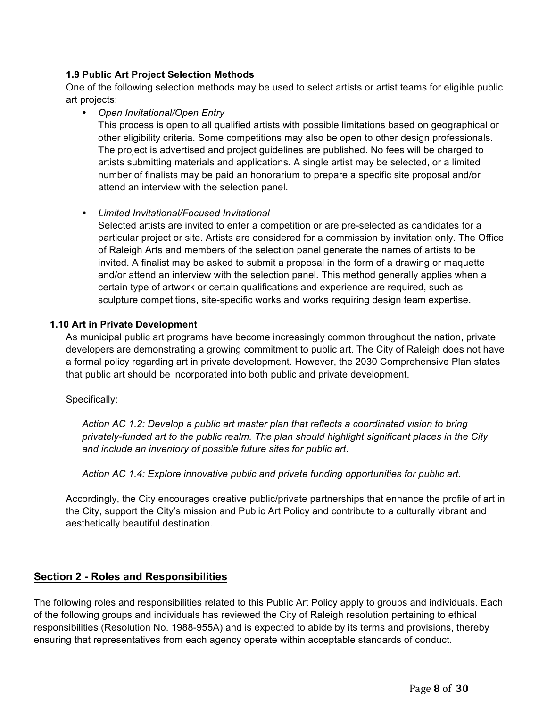# **1.9 Public Art Project Selection Methods**

One of the following selection methods may be used to select artists or artist teams for eligible public art projects:

• *Open Invitational/Open Entry*

This process is open to all qualified artists with possible limitations based on geographical or other eligibility criteria. Some competitions may also be open to other design professionals. The project is advertised and project guidelines are published. No fees will be charged to artists submitting materials and applications. A single artist may be selected, or a limited number of finalists may be paid an honorarium to prepare a specific site proposal and/or attend an interview with the selection panel.

#### • *Limited Invitational/Focused Invitational*

Selected artists are invited to enter a competition or are pre-selected as candidates for a particular project or site. Artists are considered for a commission by invitation only. The Office of Raleigh Arts and members of the selection panel generate the names of artists to be invited. A finalist may be asked to submit a proposal in the form of a drawing or maquette and/or attend an interview with the selection panel. This method generally applies when a certain type of artwork or certain qualifications and experience are required, such as sculpture competitions, site-specific works and works requiring design team expertise.

#### **1.10 Art in Private Development**

As municipal public art programs have become increasingly common throughout the nation, private developers are demonstrating a growing commitment to public art. The City of Raleigh does not have a formal policy regarding art in private development. However, the 2030 Comprehensive Plan states that public art should be incorporated into both public and private development.

#### Specifically:

*Action AC 1.2: Develop a public art master plan that reflects a coordinated vision to bring privately-funded art to the public realm. The plan should highlight significant places in the City and include an inventory of possible future sites for public art*.

*Action AC 1.4: Explore innovative public and private funding opportunities for public art*.

Accordingly, the City encourages creative public/private partnerships that enhance the profile of art in the City, support the City's mission and Public Art Policy and contribute to a culturally vibrant and aesthetically beautiful destination.

# **Section 2 - Roles and Responsibilities**

The following roles and responsibilities related to this Public Art Policy apply to groups and individuals. Each of the following groups and individuals has reviewed the City of Raleigh resolution pertaining to ethical responsibilities (Resolution No. 1988-955A) and is expected to abide by its terms and provisions, thereby ensuring that representatives from each agency operate within acceptable standards of conduct.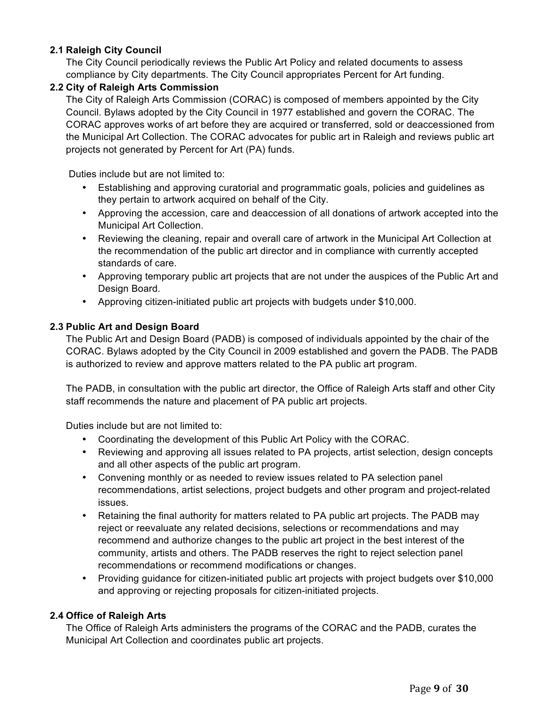# **2.1 Raleigh City Council**

The City Council periodically reviews the Public Art Policy and related documents to assess compliance by City departments. The City Council appropriates Percent for Art funding.

#### **2.2 City of Raleigh Arts Commission**

The City of Raleigh Arts Commission (CORAC) is composed of members appointed by the City Council. Bylaws adopted by the City Council in 1977 established and govern the CORAC. The CORAC approves works of art before they are acquired or transferred, sold or deaccessioned from the Municipal Art Collection. The CORAC advocates for public art in Raleigh and reviews public art projects not generated by Percent for Art (PA) funds.

Duties include but are not limited to:

- Establishing and approving curatorial and programmatic goals, policies and guidelines as they pertain to artwork acquired on behalf of the City.
- Approving the accession, care and deaccession of all donations of artwork accepted into the Municipal Art Collection.
- Reviewing the cleaning, repair and overall care of artwork in the Municipal Art Collection at the recommendation of the public art director and in compliance with currently accepted standards of care.
- Approving temporary public art projects that are not under the auspices of the Public Art and Design Board.
- Approving citizen-initiated public art projects with budgets under \$10,000.

# **2.3 Public Art and Design Board**

The Public Art and Design Board (PADB) is composed of individuals appointed by the chair of the CORAC. Bylaws adopted by the City Council in 2009 established and govern the PADB. The PADB is authorized to review and approve matters related to the PA public art program.

The PADB, in consultation with the public art director, the Office of Raleigh Arts staff and other City staff recommends the nature and placement of PA public art projects.

Duties include but are not limited to:

- Coordinating the development of this Public Art Policy with the CORAC.
- Reviewing and approving all issues related to PA projects, artist selection, design concepts and all other aspects of the public art program.
- Convening monthly or as needed to review issues related to PA selection panel recommendations, artist selections, project budgets and other program and project-related issues.
- Retaining the final authority for matters related to PA public art projects. The PADB may reject or reevaluate any related decisions, selections or recommendations and may recommend and authorize changes to the public art project in the best interest of the community, artists and others. The PADB reserves the right to reject selection panel recommendations or recommend modifications or changes.
- Providing guidance for citizen-initiated public art projects with project budgets over \$10,000 and approving or rejecting proposals for citizen-initiated projects.

#### **2.4 Office of Raleigh Arts**

The Office of Raleigh Arts administers the programs of the CORAC and the PADB, curates the Municipal Art Collection and coordinates public art projects.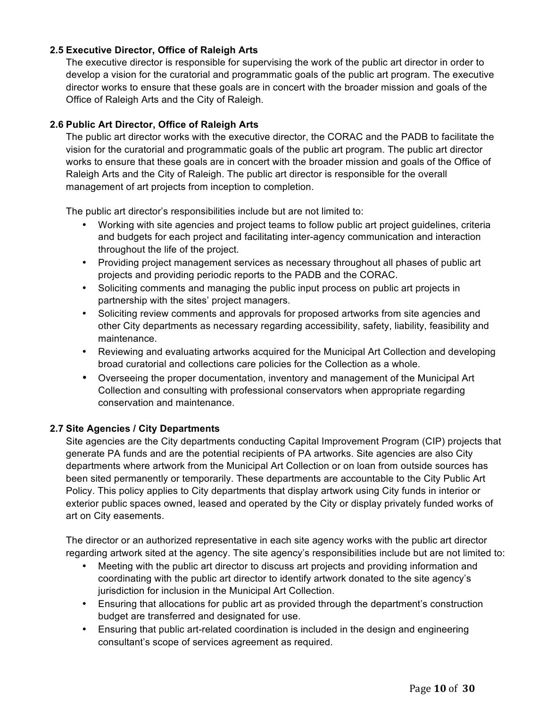# **2.5 Executive Director, Office of Raleigh Arts**

The executive director is responsible for supervising the work of the public art director in order to develop a vision for the curatorial and programmatic goals of the public art program. The executive director works to ensure that these goals are in concert with the broader mission and goals of the Office of Raleigh Arts and the City of Raleigh.

# **2.6 Public Art Director, Office of Raleigh Arts**

The public art director works with the executive director, the CORAC and the PADB to facilitate the vision for the curatorial and programmatic goals of the public art program. The public art director works to ensure that these goals are in concert with the broader mission and goals of the Office of Raleigh Arts and the City of Raleigh. The public art director is responsible for the overall management of art projects from inception to completion.

The public art director's responsibilities include but are not limited to:

- Working with site agencies and project teams to follow public art project guidelines, criteria and budgets for each project and facilitating inter-agency communication and interaction throughout the life of the project.
- Providing project management services as necessary throughout all phases of public art projects and providing periodic reports to the PADB and the CORAC.
- Soliciting comments and managing the public input process on public art projects in partnership with the sites' project managers.
- Soliciting review comments and approvals for proposed artworks from site agencies and other City departments as necessary regarding accessibility, safety, liability, feasibility and maintenance.
- Reviewing and evaluating artworks acquired for the Municipal Art Collection and developing broad curatorial and collections care policies for the Collection as a whole.
- Overseeing the proper documentation, inventory and management of the Municipal Art Collection and consulting with professional conservators when appropriate regarding conservation and maintenance.

#### **2.7 Site Agencies / City Departments**

Site agencies are the City departments conducting Capital Improvement Program (CIP) projects that generate PA funds and are the potential recipients of PA artworks. Site agencies are also City departments where artwork from the Municipal Art Collection or on loan from outside sources has been sited permanently or temporarily. These departments are accountable to the City Public Art Policy. This policy applies to City departments that display artwork using City funds in interior or exterior public spaces owned, leased and operated by the City or display privately funded works of art on City easements.

The director or an authorized representative in each site agency works with the public art director regarding artwork sited at the agency. The site agency's responsibilities include but are not limited to:

- Meeting with the public art director to discuss art projects and providing information and coordinating with the public art director to identify artwork donated to the site agency's jurisdiction for inclusion in the Municipal Art Collection.
- Ensuring that allocations for public art as provided through the department's construction budget are transferred and designated for use.
- Ensuring that public art-related coordination is included in the design and engineering consultant's scope of services agreement as required.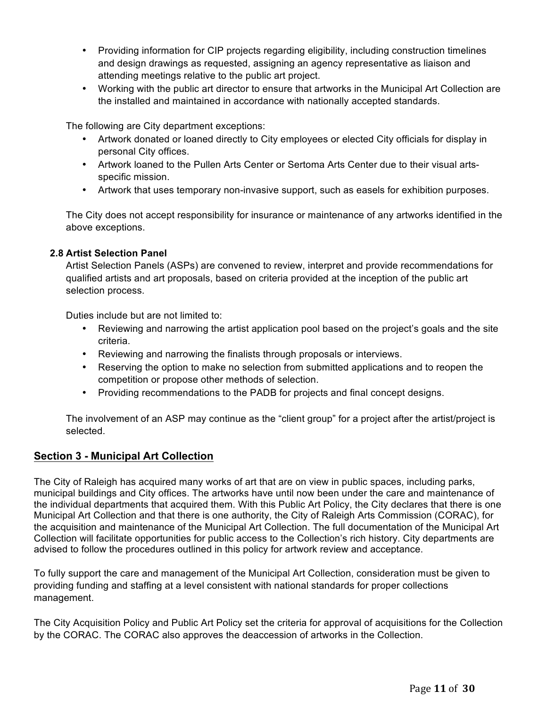- Providing information for CIP projects regarding eligibility, including construction timelines and design drawings as requested, assigning an agency representative as liaison and attending meetings relative to the public art project.
- Working with the public art director to ensure that artworks in the Municipal Art Collection are the installed and maintained in accordance with nationally accepted standards.

The following are City department exceptions:

- Artwork donated or loaned directly to City employees or elected City officials for display in personal City offices.
- Artwork loaned to the Pullen Arts Center or Sertoma Arts Center due to their visual artsspecific mission.
- Artwork that uses temporary non-invasive support, such as easels for exhibition purposes.

The City does not accept responsibility for insurance or maintenance of any artworks identified in the above exceptions.

#### **2.8 Artist Selection Panel**

Artist Selection Panels (ASPs) are convened to review, interpret and provide recommendations for qualified artists and art proposals, based on criteria provided at the inception of the public art selection process.

Duties include but are not limited to:

- Reviewing and narrowing the artist application pool based on the project's goals and the site criteria.
- Reviewing and narrowing the finalists through proposals or interviews.
- Reserving the option to make no selection from submitted applications and to reopen the competition or propose other methods of selection.
- Providing recommendations to the PADB for projects and final concept designs.

The involvement of an ASP may continue as the "client group" for a project after the artist/project is selected.

# **Section 3 - Municipal Art Collection**

The City of Raleigh has acquired many works of art that are on view in public spaces, including parks, municipal buildings and City offices. The artworks have until now been under the care and maintenance of the individual departments that acquired them. With this Public Art Policy, the City declares that there is one Municipal Art Collection and that there is one authority, the City of Raleigh Arts Commission (CORAC), for the acquisition and maintenance of the Municipal Art Collection. The full documentation of the Municipal Art Collection will facilitate opportunities for public access to the Collection's rich history. City departments are advised to follow the procedures outlined in this policy for artwork review and acceptance.

To fully support the care and management of the Municipal Art Collection, consideration must be given to providing funding and staffing at a level consistent with national standards for proper collections management.

The City Acquisition Policy and Public Art Policy set the criteria for approval of acquisitions for the Collection by the CORAC. The CORAC also approves the deaccession of artworks in the Collection.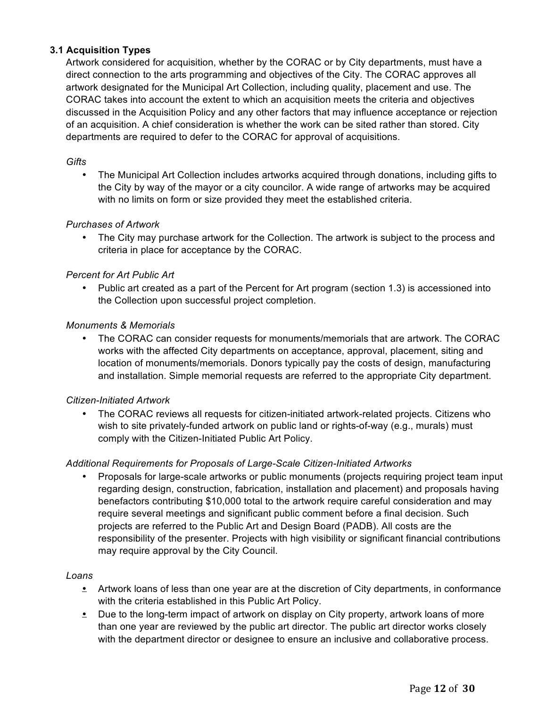# **3.1 Acquisition Types**

Artwork considered for acquisition, whether by the CORAC or by City departments, must have a direct connection to the arts programming and objectives of the City. The CORAC approves all artwork designated for the Municipal Art Collection, including quality, placement and use. The CORAC takes into account the extent to which an acquisition meets the criteria and objectives discussed in the Acquisition Policy and any other factors that may influence acceptance or rejection of an acquisition. A chief consideration is whether the work can be sited rather than stored. City departments are required to defer to the CORAC for approval of acquisitions.

#### *Gifts*

• The Municipal Art Collection includes artworks acquired through donations, including gifts to the City by way of the mayor or a city councilor. A wide range of artworks may be acquired with no limits on form or size provided they meet the established criteria.

#### *Purchases of Artwork*

• The City may purchase artwork for the Collection. The artwork is subject to the process and criteria in place for acceptance by the CORAC.

# *Percent for Art Public Art*

• Public art created as a part of the Percent for Art program (section 1.3) is accessioned into the Collection upon successful project completion.

#### *Monuments & Memorials*

• The CORAC can consider requests for monuments/memorials that are artwork. The CORAC works with the affected City departments on acceptance, approval, placement, siting and location of monuments/memorials. Donors typically pay the costs of design, manufacturing and installation. Simple memorial requests are referred to the appropriate City department.

#### *Citizen-Initiated Artwork*

• The CORAC reviews all requests for citizen-initiated artwork-related projects. Citizens who wish to site privately-funded artwork on public land or rights-of-way (e.g., murals) must comply with the Citizen-Initiated Public Art Policy.

#### *Additional Requirements for Proposals of Large-Scale Citizen-Initiated Artworks*

• Proposals for large-scale artworks or public monuments (projects requiring project team input regarding design, construction, fabrication, installation and placement) and proposals having benefactors contributing \$10,000 total to the artwork require careful consideration and may require several meetings and significant public comment before a final decision. Such projects are referred to the Public Art and Design Board (PADB). All costs are the responsibility of the presenter. Projects with high visibility or significant financial contributions may require approval by the City Council.

#### *Loans*

- **•** Artwork loans of less than one year are at the discretion of City departments, in conformance with the criteria established in this Public Art Policy.
- Due to the long-term impact of artwork on display on City property, artwork loans of more than one year are reviewed by the public art director. The public art director works closely with the department director or designee to ensure an inclusive and collaborative process.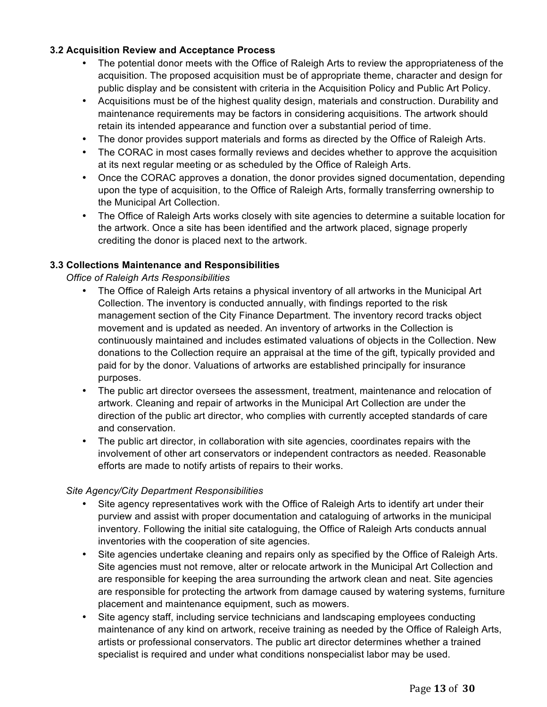# **3.2 Acquisition Review and Acceptance Process**

- The potential donor meets with the Office of Raleigh Arts to review the appropriateness of the acquisition. The proposed acquisition must be of appropriate theme, character and design for public display and be consistent with criteria in the Acquisition Policy and Public Art Policy.
- Acquisitions must be of the highest quality design, materials and construction. Durability and maintenance requirements may be factors in considering acquisitions. The artwork should retain its intended appearance and function over a substantial period of time.
- The donor provides support materials and forms as directed by the Office of Raleigh Arts.
- The CORAC in most cases formally reviews and decides whether to approve the acquisition at its next regular meeting or as scheduled by the Office of Raleigh Arts.
- Once the CORAC approves a donation, the donor provides signed documentation, depending upon the type of acquisition, to the Office of Raleigh Arts, formally transferring ownership to the Municipal Art Collection.
- The Office of Raleigh Arts works closely with site agencies to determine a suitable location for the artwork. Once a site has been identified and the artwork placed, signage properly crediting the donor is placed next to the artwork.

#### **3.3 Collections Maintenance and Responsibilities**

*Office of Raleigh Arts Responsibilities*

- The Office of Raleigh Arts retains a physical inventory of all artworks in the Municipal Art Collection. The inventory is conducted annually, with findings reported to the risk management section of the City Finance Department. The inventory record tracks object movement and is updated as needed. An inventory of artworks in the Collection is continuously maintained and includes estimated valuations of objects in the Collection. New donations to the Collection require an appraisal at the time of the gift, typically provided and paid for by the donor. Valuations of artworks are established principally for insurance purposes.
- The public art director oversees the assessment, treatment, maintenance and relocation of artwork. Cleaning and repair of artworks in the Municipal Art Collection are under the direction of the public art director, who complies with currently accepted standards of care and conservation.
- The public art director, in collaboration with site agencies, coordinates repairs with the involvement of other art conservators or independent contractors as needed. Reasonable efforts are made to notify artists of repairs to their works.

#### *Site Agency/City Department Responsibilities*

- Site agency representatives work with the Office of Raleigh Arts to identify art under their purview and assist with proper documentation and cataloguing of artworks in the municipal inventory. Following the initial site cataloguing, the Office of Raleigh Arts conducts annual inventories with the cooperation of site agencies.
- Site agencies undertake cleaning and repairs only as specified by the Office of Raleigh Arts. Site agencies must not remove, alter or relocate artwork in the Municipal Art Collection and are responsible for keeping the area surrounding the artwork clean and neat. Site agencies are responsible for protecting the artwork from damage caused by watering systems, furniture placement and maintenance equipment, such as mowers.
- Site agency staff, including service technicians and landscaping employees conducting maintenance of any kind on artwork, receive training as needed by the Office of Raleigh Arts, artists or professional conservators. The public art director determines whether a trained specialist is required and under what conditions nonspecialist labor may be used.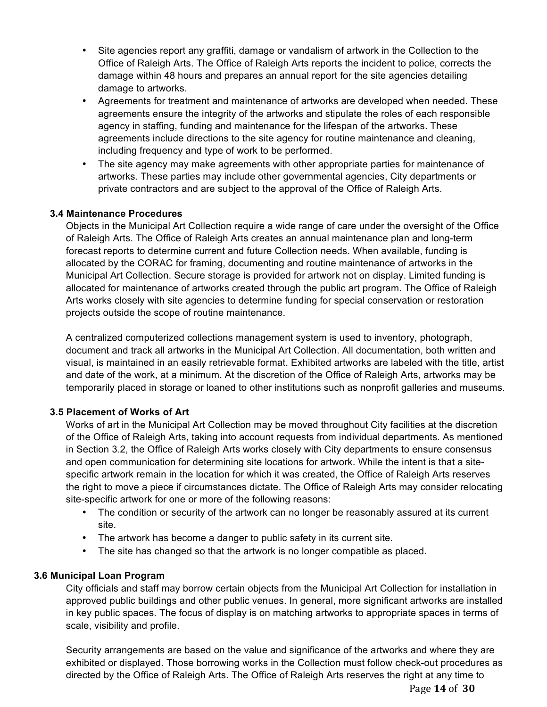- Site agencies report any graffiti, damage or vandalism of artwork in the Collection to the Office of Raleigh Arts. The Office of Raleigh Arts reports the incident to police, corrects the damage within 48 hours and prepares an annual report for the site agencies detailing damage to artworks.
- Agreements for treatment and maintenance of artworks are developed when needed. These agreements ensure the integrity of the artworks and stipulate the roles of each responsible agency in staffing, funding and maintenance for the lifespan of the artworks. These agreements include directions to the site agency for routine maintenance and cleaning, including frequency and type of work to be performed.
- The site agency may make agreements with other appropriate parties for maintenance of artworks. These parties may include other governmental agencies, City departments or private contractors and are subject to the approval of the Office of Raleigh Arts.

#### **3.4 Maintenance Procedures**

Objects in the Municipal Art Collection require a wide range of care under the oversight of the Office of Raleigh Arts. The Office of Raleigh Arts creates an annual maintenance plan and long-term forecast reports to determine current and future Collection needs. When available, funding is allocated by the CORAC for framing, documenting and routine maintenance of artworks in the Municipal Art Collection. Secure storage is provided for artwork not on display. Limited funding is allocated for maintenance of artworks created through the public art program. The Office of Raleigh Arts works closely with site agencies to determine funding for special conservation or restoration projects outside the scope of routine maintenance.

A centralized computerized collections management system is used to inventory, photograph, document and track all artworks in the Municipal Art Collection. All documentation, both written and visual, is maintained in an easily retrievable format. Exhibited artworks are labeled with the title, artist and date of the work, at a minimum. At the discretion of the Office of Raleigh Arts, artworks may be temporarily placed in storage or loaned to other institutions such as nonprofit galleries and museums.

# **3.5 Placement of Works of Art**

Works of art in the Municipal Art Collection may be moved throughout City facilities at the discretion of the Office of Raleigh Arts, taking into account requests from individual departments. As mentioned in Section 3.2, the Office of Raleigh Arts works closely with City departments to ensure consensus and open communication for determining site locations for artwork. While the intent is that a sitespecific artwork remain in the location for which it was created, the Office of Raleigh Arts reserves the right to move a piece if circumstances dictate. The Office of Raleigh Arts may consider relocating site-specific artwork for one or more of the following reasons:

- The condition or security of the artwork can no longer be reasonably assured at its current site.
- The artwork has become a danger to public safety in its current site.
- The site has changed so that the artwork is no longer compatible as placed.

#### **3.6 Municipal Loan Program**

City officials and staff may borrow certain objects from the Municipal Art Collection for installation in approved public buildings and other public venues. In general, more significant artworks are installed in key public spaces. The focus of display is on matching artworks to appropriate spaces in terms of scale, visibility and profile.

Security arrangements are based on the value and significance of the artworks and where they are exhibited or displayed. Those borrowing works in the Collection must follow check-out procedures as directed by the Office of Raleigh Arts. The Office of Raleigh Arts reserves the right at any time to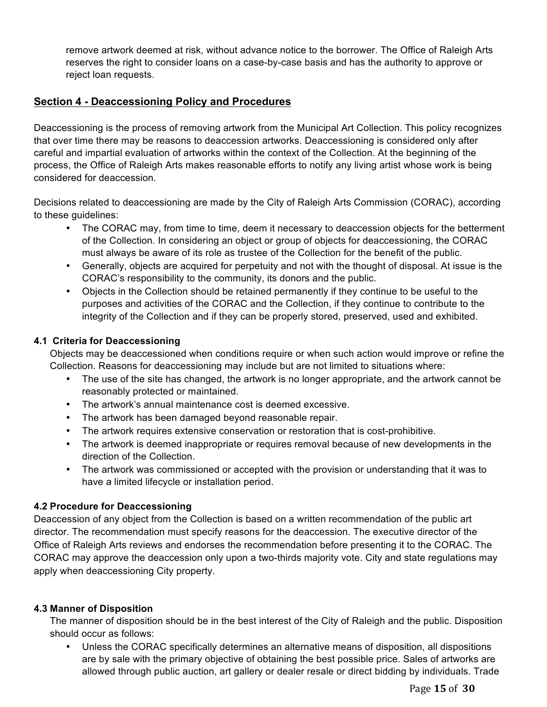remove artwork deemed at risk, without advance notice to the borrower. The Office of Raleigh Arts reserves the right to consider loans on a case-by-case basis and has the authority to approve or reject loan requests.

# **Section 4 - Deaccessioning Policy and Procedures**

Deaccessioning is the process of removing artwork from the Municipal Art Collection. This policy recognizes that over time there may be reasons to deaccession artworks. Deaccessioning is considered only after careful and impartial evaluation of artworks within the context of the Collection. At the beginning of the process, the Office of Raleigh Arts makes reasonable efforts to notify any living artist whose work is being considered for deaccession.

Decisions related to deaccessioning are made by the City of Raleigh Arts Commission (CORAC), according to these guidelines:

- The CORAC may, from time to time, deem it necessary to deaccession objects for the betterment of the Collection. In considering an object or group of objects for deaccessioning, the CORAC must always be aware of its role as trustee of the Collection for the benefit of the public.
- Generally, objects are acquired for perpetuity and not with the thought of disposal. At issue is the CORAC's responsibility to the community, its donors and the public.
- Objects in the Collection should be retained permanently if they continue to be useful to the purposes and activities of the CORAC and the Collection, if they continue to contribute to the integrity of the Collection and if they can be properly stored, preserved, used and exhibited.

# **4.1 Criteria for Deaccessioning**

Objects may be deaccessioned when conditions require or when such action would improve or refine the Collection. Reasons for deaccessioning may include but are not limited to situations where:

- The use of the site has changed, the artwork is no longer appropriate, and the artwork cannot be reasonably protected or maintained.
- The artwork's annual maintenance cost is deemed excessive.
- The artwork has been damaged beyond reasonable repair.
- The artwork requires extensive conservation or restoration that is cost-prohibitive.
- The artwork is deemed inappropriate or requires removal because of new developments in the direction of the Collection.
- The artwork was commissioned or accepted with the provision or understanding that it was to have a limited lifecycle or installation period.

# **4.2 Procedure for Deaccessioning**

Deaccession of any object from the Collection is based on a written recommendation of the public art director. The recommendation must specify reasons for the deaccession. The executive director of the Office of Raleigh Arts reviews and endorses the recommendation before presenting it to the CORAC. The CORAC may approve the deaccession only upon a two-thirds majority vote. City and state regulations may apply when deaccessioning City property.

# **4.3 Manner of Disposition**

The manner of disposition should be in the best interest of the City of Raleigh and the public. Disposition should occur as follows:

• Unless the CORAC specifically determines an alternative means of disposition, all dispositions are by sale with the primary objective of obtaining the best possible price. Sales of artworks are allowed through public auction, art gallery or dealer resale or direct bidding by individuals. Trade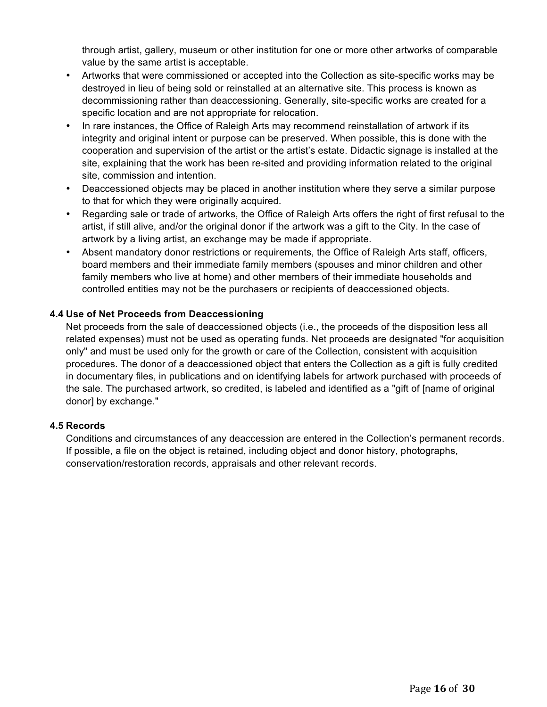through artist, gallery, museum or other institution for one or more other artworks of comparable value by the same artist is acceptable.

- Artworks that were commissioned or accepted into the Collection as site-specific works may be destroyed in lieu of being sold or reinstalled at an alternative site. This process is known as decommissioning rather than deaccessioning. Generally, site-specific works are created for a specific location and are not appropriate for relocation.
- In rare instances, the Office of Raleigh Arts may recommend reinstallation of artwork if its integrity and original intent or purpose can be preserved. When possible, this is done with the cooperation and supervision of the artist or the artist's estate. Didactic signage is installed at the site, explaining that the work has been re-sited and providing information related to the original site, commission and intention.
- Deaccessioned objects may be placed in another institution where they serve a similar purpose to that for which they were originally acquired.
- Regarding sale or trade of artworks, the Office of Raleigh Arts offers the right of first refusal to the artist, if still alive, and/or the original donor if the artwork was a gift to the City. In the case of artwork by a living artist, an exchange may be made if appropriate.
- Absent mandatory donor restrictions or requirements, the Office of Raleigh Arts staff, officers, board members and their immediate family members (spouses and minor children and other family members who live at home) and other members of their immediate households and controlled entities may not be the purchasers or recipients of deaccessioned objects.

#### **4.4 Use of Net Proceeds from Deaccessioning**

Net proceeds from the sale of deaccessioned objects (i.e., the proceeds of the disposition less all related expenses) must not be used as operating funds. Net proceeds are designated "for acquisition only" and must be used only for the growth or care of the Collection, consistent with acquisition procedures. The donor of a deaccessioned object that enters the Collection as a gift is fully credited in documentary files, in publications and on identifying labels for artwork purchased with proceeds of the sale. The purchased artwork, so credited, is labeled and identified as a "gift of [name of original donor] by exchange."

#### **4.5 Records**

Conditions and circumstances of any deaccession are entered in the Collection's permanent records. If possible, a file on the object is retained, including object and donor history, photographs, conservation/restoration records, appraisals and other relevant records.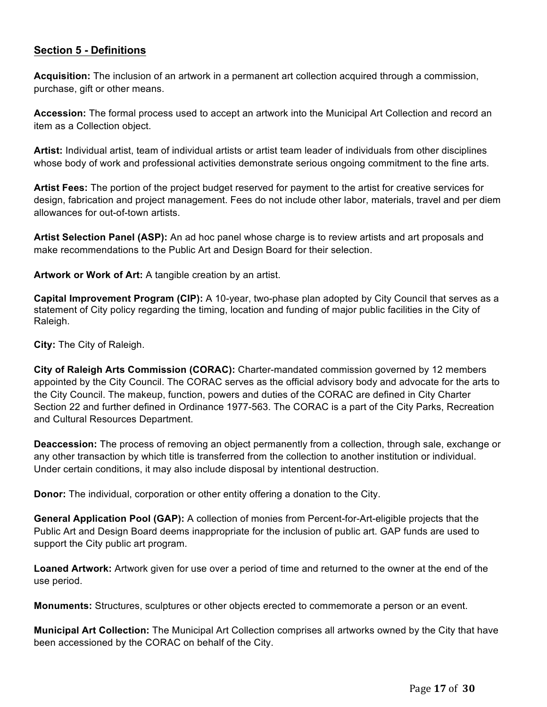# **Section 5 - Definitions**

**Acquisition:** The inclusion of an artwork in a permanent art collection acquired through a commission, purchase, gift or other means.

**Accession:** The formal process used to accept an artwork into the Municipal Art Collection and record an item as a Collection object.

**Artist:** Individual artist, team of individual artists or artist team leader of individuals from other disciplines whose body of work and professional activities demonstrate serious ongoing commitment to the fine arts.

**Artist Fees:** The portion of the project budget reserved for payment to the artist for creative services for design, fabrication and project management. Fees do not include other labor, materials, travel and per diem allowances for out-of-town artists.

**Artist Selection Panel (ASP):** An ad hoc panel whose charge is to review artists and art proposals and make recommendations to the Public Art and Design Board for their selection.

**Artwork or Work of Art:** A tangible creation by an artist.

**Capital Improvement Program (CIP):** A 10-year, two-phase plan adopted by City Council that serves as a statement of City policy regarding the timing, location and funding of major public facilities in the City of Raleigh.

**City:** The City of Raleigh.

**City of Raleigh Arts Commission (CORAC):** Charter-mandated commission governed by 12 members appointed by the City Council. The CORAC serves as the official advisory body and advocate for the arts to the City Council. The makeup, function, powers and duties of the CORAC are defined in City Charter Section 22 and further defined in Ordinance 1977-563. The CORAC is a part of the City Parks, Recreation and Cultural Resources Department.

**Deaccession:** The process of removing an object permanently from a collection, through sale, exchange or any other transaction by which title is transferred from the collection to another institution or individual. Under certain conditions, it may also include disposal by intentional destruction.

**Donor:** The individual, corporation or other entity offering a donation to the City.

**General Application Pool (GAP):** A collection of monies from Percent-for-Art-eligible projects that the Public Art and Design Board deems inappropriate for the inclusion of public art. GAP funds are used to support the City public art program.

**Loaned Artwork:** Artwork given for use over a period of time and returned to the owner at the end of the use period.

**Monuments:** Structures, sculptures or other objects erected to commemorate a person or an event.

**Municipal Art Collection:** The Municipal Art Collection comprises all artworks owned by the City that have been accessioned by the CORAC on behalf of the City.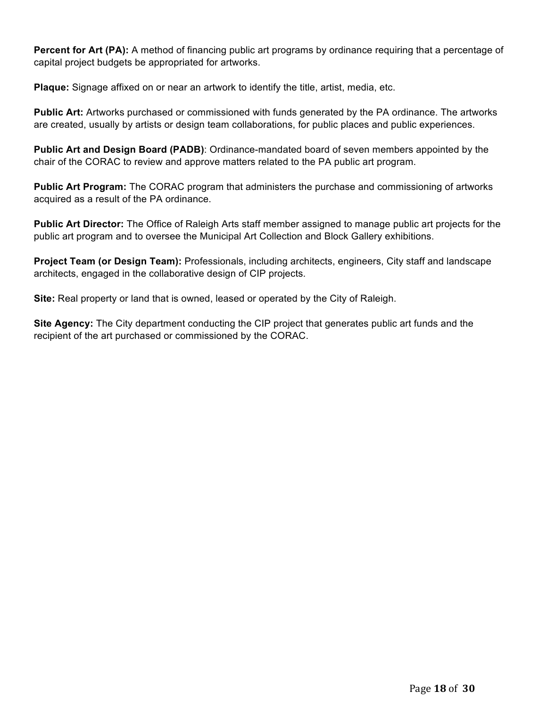**Percent for Art (PA):** A method of financing public art programs by ordinance requiring that a percentage of capital project budgets be appropriated for artworks.

**Plaque:** Signage affixed on or near an artwork to identify the title, artist, media, etc.

**Public Art:** Artworks purchased or commissioned with funds generated by the PA ordinance. The artworks are created, usually by artists or design team collaborations, for public places and public experiences.

**Public Art and Design Board (PADB)**: Ordinance-mandated board of seven members appointed by the chair of the CORAC to review and approve matters related to the PA public art program.

**Public Art Program:** The CORAC program that administers the purchase and commissioning of artworks acquired as a result of the PA ordinance.

**Public Art Director:** The Office of Raleigh Arts staff member assigned to manage public art projects for the public art program and to oversee the Municipal Art Collection and Block Gallery exhibitions.

**Project Team (or Design Team):** Professionals, including architects, engineers, City staff and landscape architects, engaged in the collaborative design of CIP projects.

**Site:** Real property or land that is owned, leased or operated by the City of Raleigh.

**Site Agency:** The City department conducting the CIP project that generates public art funds and the recipient of the art purchased or commissioned by the CORAC.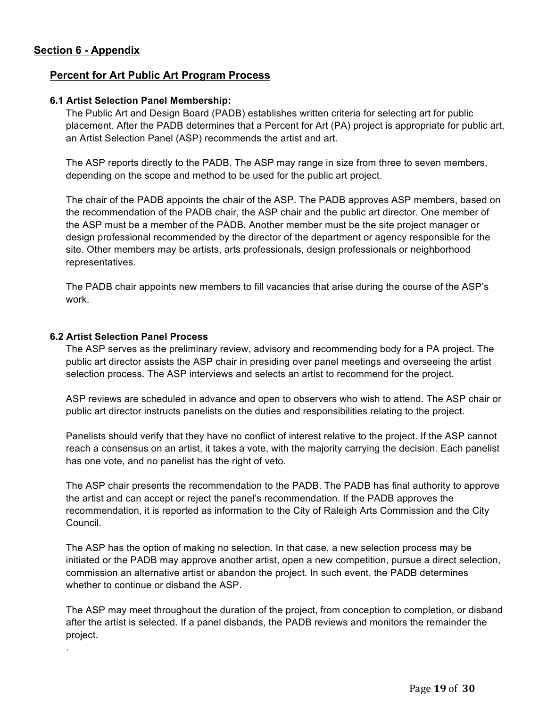# **Section 6 - Appendix**

# **Percent for Art Public Art Program Process**

#### **6.1 Artist Selection Panel Membership:**

The Public Art and Design Board (PADB) establishes written criteria for selecting art for public placement. After the PADB determines that a Percent for Art (PA) project is appropriate for public art, an Artist Selection Panel (ASP) recommends the artist and art.

The ASP reports directly to the PADB. The ASP may range in size from three to seven members, depending on the scope and method to be used for the public art project.

The chair of the PADB appoints the chair of the ASP. The PADB approves ASP members, based on the recommendation of the PADB chair, the ASP chair and the public art director. One member of the ASP must be a member of the PADB. Another member must be the site project manager or design professional recommended by the director of the department or agency responsible for the site. Other members may be artists, arts professionals, design professionals or neighborhood representatives.

The PADB chair appoints new members to fill vacancies that arise during the course of the ASP's work.

#### **6.2 Artist Selection Panel Process**

.

The ASP serves as the preliminary review, advisory and recommending body for a PA project. The public art director assists the ASP chair in presiding over panel meetings and overseeing the artist selection process. The ASP interviews and selects an artist to recommend for the project.

ASP reviews are scheduled in advance and open to observers who wish to attend. The ASP chair or public art director instructs panelists on the duties and responsibilities relating to the project.

Panelists should verify that they have no conflict of interest relative to the project. If the ASP cannot reach a consensus on an artist, it takes a vote, with the majority carrying the decision. Each panelist has one vote, and no panelist has the right of veto.

The ASP chair presents the recommendation to the PADB. The PADB has final authority to approve the artist and can accept or reject the panel's recommendation. If the PADB approves the recommendation, it is reported as information to the City of Raleigh Arts Commission and the City Council.

The ASP has the option of making no selection. In that case, a new selection process may be initiated or the PADB may approve another artist, open a new competition, pursue a direct selection, commission an alternative artist or abandon the project. In such event, the PADB determines whether to continue or disband the ASP.

The ASP may meet throughout the duration of the project, from conception to completion, or disband after the artist is selected. If a panel disbands, the PADB reviews and monitors the remainder the project.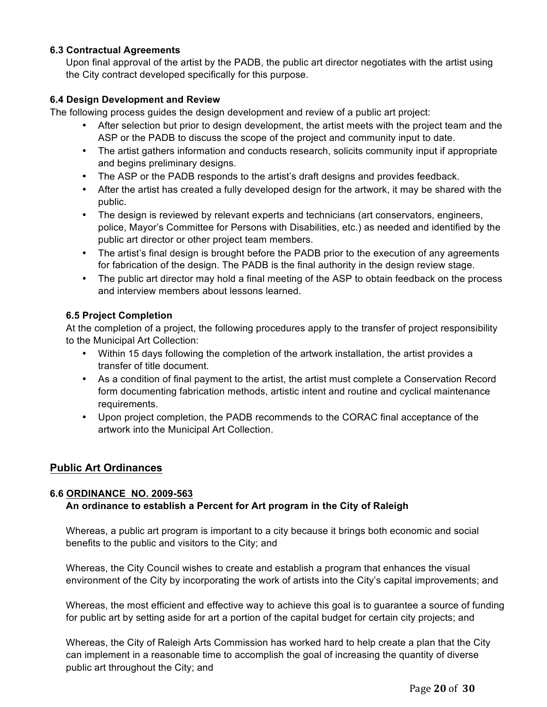#### **6.3 Contractual Agreements**

Upon final approval of the artist by the PADB, the public art director negotiates with the artist using the City contract developed specifically for this purpose.

#### **6.4 Design Development and Review**

The following process guides the design development and review of a public art project:

- After selection but prior to design development, the artist meets with the project team and the ASP or the PADB to discuss the scope of the project and community input to date.
- The artist gathers information and conducts research, solicits community input if appropriate and begins preliminary designs.
- The ASP or the PADB responds to the artist's draft designs and provides feedback.
- After the artist has created a fully developed design for the artwork, it may be shared with the public.
- The design is reviewed by relevant experts and technicians (art conservators, engineers, police, Mayor's Committee for Persons with Disabilities, etc.) as needed and identified by the public art director or other project team members.
- The artist's final design is brought before the PADB prior to the execution of any agreements for fabrication of the design. The PADB is the final authority in the design review stage.
- The public art director may hold a final meeting of the ASP to obtain feedback on the process and interview members about lessons learned.

#### **6.5 Project Completion**

At the completion of a project, the following procedures apply to the transfer of project responsibility to the Municipal Art Collection:

- Within 15 days following the completion of the artwork installation, the artist provides a transfer of title document.
- As a condition of final payment to the artist, the artist must complete a Conservation Record form documenting fabrication methods, artistic intent and routine and cyclical maintenance requirements.
- Upon project completion, the PADB recommends to the CORAC final acceptance of the artwork into the Municipal Art Collection.

#### **Public Art Ordinances**

#### **6.6 ORDINANCE NO. 2009-563**

#### **An ordinance to establish a Percent for Art program in the City of Raleigh**

Whereas, a public art program is important to a city because it brings both economic and social benefits to the public and visitors to the City; and

Whereas, the City Council wishes to create and establish a program that enhances the visual environment of the City by incorporating the work of artists into the City's capital improvements; and

Whereas, the most efficient and effective way to achieve this goal is to guarantee a source of funding for public art by setting aside for art a portion of the capital budget for certain city projects; and

Whereas, the City of Raleigh Arts Commission has worked hard to help create a plan that the City can implement in a reasonable time to accomplish the goal of increasing the quantity of diverse public art throughout the City; and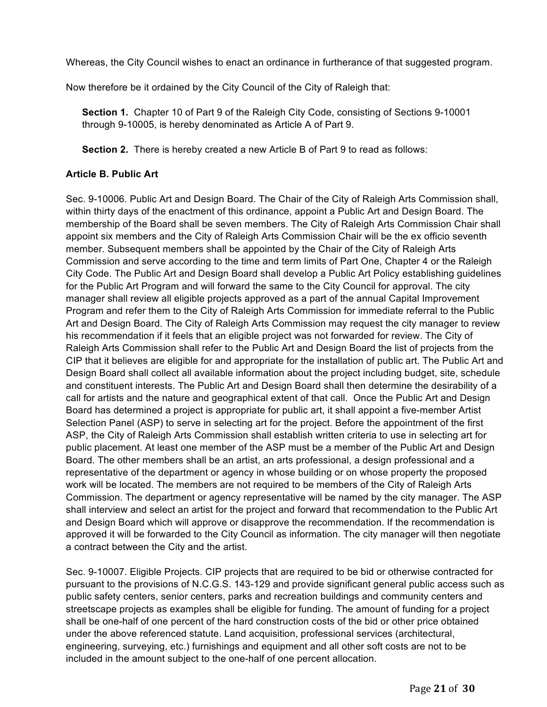Whereas, the City Council wishes to enact an ordinance in furtherance of that suggested program.

Now therefore be it ordained by the City Council of the City of Raleigh that:

**Section 1.** Chapter 10 of Part 9 of the Raleigh City Code, consisting of Sections 9-10001 through 9-10005, is hereby denominated as Article A of Part 9.

**Section 2.** There is hereby created a new Article B of Part 9 to read as follows:

# **Article B. Public Art**

Sec. 9-10006. Public Art and Design Board. The Chair of the City of Raleigh Arts Commission shall, within thirty days of the enactment of this ordinance, appoint a Public Art and Design Board. The membership of the Board shall be seven members. The City of Raleigh Arts Commission Chair shall appoint six members and the City of Raleigh Arts Commission Chair will be the ex officio seventh member. Subsequent members shall be appointed by the Chair of the City of Raleigh Arts Commission and serve according to the time and term limits of Part One, Chapter 4 or the Raleigh City Code. The Public Art and Design Board shall develop a Public Art Policy establishing guidelines for the Public Art Program and will forward the same to the City Council for approval. The city manager shall review all eligible projects approved as a part of the annual Capital Improvement Program and refer them to the City of Raleigh Arts Commission for immediate referral to the Public Art and Design Board. The City of Raleigh Arts Commission may request the city manager to review his recommendation if it feels that an eligible project was not forwarded for review. The City of Raleigh Arts Commission shall refer to the Public Art and Design Board the list of projects from the CIP that it believes are eligible for and appropriate for the installation of public art. The Public Art and Design Board shall collect all available information about the project including budget, site, schedule and constituent interests. The Public Art and Design Board shall then determine the desirability of a call for artists and the nature and geographical extent of that call. Once the Public Art and Design Board has determined a project is appropriate for public art, it shall appoint a five-member Artist Selection Panel (ASP) to serve in selecting art for the project. Before the appointment of the first ASP, the City of Raleigh Arts Commission shall establish written criteria to use in selecting art for public placement. At least one member of the ASP must be a member of the Public Art and Design Board. The other members shall be an artist, an arts professional, a design professional and a representative of the department or agency in whose building or on whose property the proposed work will be located. The members are not required to be members of the City of Raleigh Arts Commission. The department or agency representative will be named by the city manager. The ASP shall interview and select an artist for the project and forward that recommendation to the Public Art and Design Board which will approve or disapprove the recommendation. If the recommendation is approved it will be forwarded to the City Council as information. The city manager will then negotiate a contract between the City and the artist.

Sec. 9-10007. Eligible Projects. CIP projects that are required to be bid or otherwise contracted for pursuant to the provisions of N.C.G.S. 143-129 and provide significant general public access such as public safety centers, senior centers, parks and recreation buildings and community centers and streetscape projects as examples shall be eligible for funding. The amount of funding for a project shall be one-half of one percent of the hard construction costs of the bid or other price obtained under the above referenced statute. Land acquisition, professional services (architectural, engineering, surveying, etc.) furnishings and equipment and all other soft costs are not to be included in the amount subject to the one-half of one percent allocation.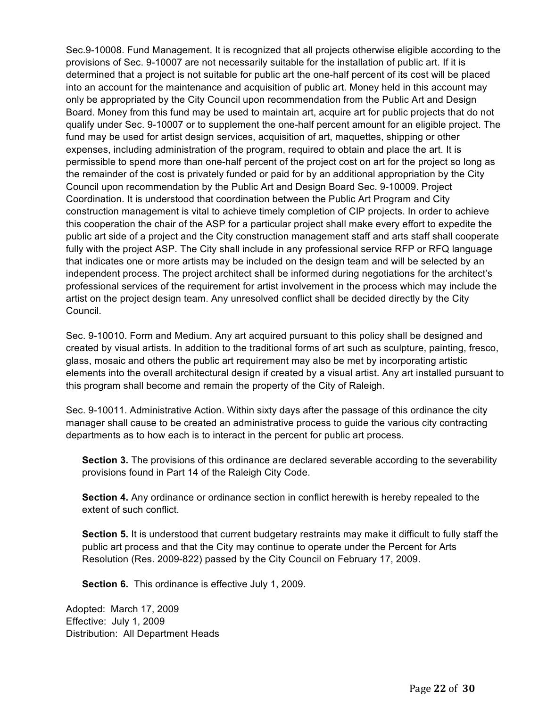Sec.9-10008. Fund Management. It is recognized that all projects otherwise eligible according to the provisions of Sec. 9-10007 are not necessarily suitable for the installation of public art. If it is determined that a project is not suitable for public art the one-half percent of its cost will be placed into an account for the maintenance and acquisition of public art. Money held in this account may only be appropriated by the City Council upon recommendation from the Public Art and Design Board. Money from this fund may be used to maintain art, acquire art for public projects that do not qualify under Sec. 9-10007 or to supplement the one-half percent amount for an eligible project. The fund may be used for artist design services, acquisition of art, maquettes, shipping or other expenses, including administration of the program, required to obtain and place the art. It is permissible to spend more than one-half percent of the project cost on art for the project so long as the remainder of the cost is privately funded or paid for by an additional appropriation by the City Council upon recommendation by the Public Art and Design Board Sec. 9-10009. Project Coordination. It is understood that coordination between the Public Art Program and City construction management is vital to achieve timely completion of CIP projects. In order to achieve this cooperation the chair of the ASP for a particular project shall make every effort to expedite the public art side of a project and the City construction management staff and arts staff shall cooperate fully with the project ASP. The City shall include in any professional service RFP or RFQ language that indicates one or more artists may be included on the design team and will be selected by an independent process. The project architect shall be informed during negotiations for the architect's professional services of the requirement for artist involvement in the process which may include the artist on the project design team. Any unresolved conflict shall be decided directly by the City Council.

Sec. 9-10010. Form and Medium. Any art acquired pursuant to this policy shall be designed and created by visual artists. In addition to the traditional forms of art such as sculpture, painting, fresco, glass, mosaic and others the public art requirement may also be met by incorporating artistic elements into the overall architectural design if created by a visual artist. Any art installed pursuant to this program shall become and remain the property of the City of Raleigh.

Sec. 9-10011. Administrative Action. Within sixty days after the passage of this ordinance the city manager shall cause to be created an administrative process to guide the various city contracting departments as to how each is to interact in the percent for public art process.

**Section 3.** The provisions of this ordinance are declared severable according to the severability provisions found in Part 14 of the Raleigh City Code.

**Section 4.** Any ordinance or ordinance section in conflict herewith is hereby repealed to the extent of such conflict.

**Section 5.** It is understood that current budgetary restraints may make it difficult to fully staff the public art process and that the City may continue to operate under the Percent for Arts Resolution (Res. 2009-822) passed by the City Council on February 17, 2009.

**Section 6.** This ordinance is effective July 1, 2009.

Adopted: March 17, 2009 Effective: July 1, 2009 Distribution: All Department Heads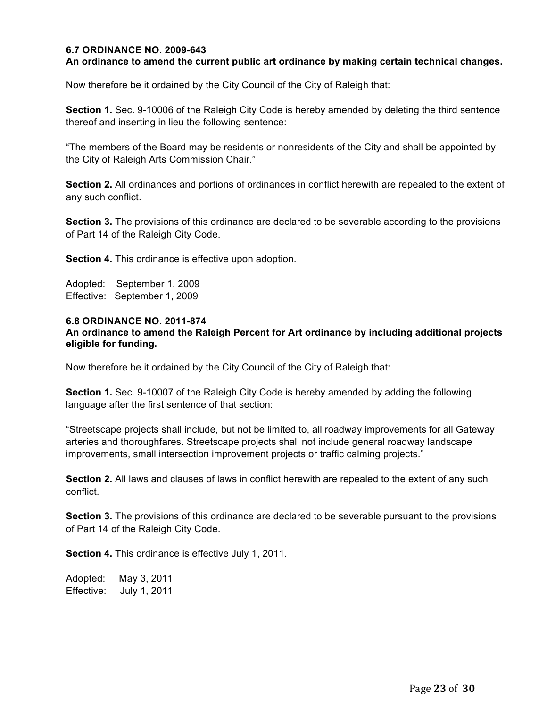#### **6.7 ORDINANCE NO. 2009-643**

#### **An ordinance to amend the current public art ordinance by making certain technical changes.**

Now therefore be it ordained by the City Council of the City of Raleigh that:

**Section 1.** Sec. 9-10006 of the Raleigh City Code is hereby amended by deleting the third sentence thereof and inserting in lieu the following sentence:

"The members of the Board may be residents or nonresidents of the City and shall be appointed by the City of Raleigh Arts Commission Chair."

**Section 2.** All ordinances and portions of ordinances in conflict herewith are repealed to the extent of any such conflict.

**Section 3.** The provisions of this ordinance are declared to be severable according to the provisions of Part 14 of the Raleigh City Code.

**Section 4.** This ordinance is effective upon adoption.

Adopted: September 1, 2009 Effective: September 1, 2009

#### **6.8 ORDINANCE NO. 2011-874**

#### **An ordinance to amend the Raleigh Percent for Art ordinance by including additional projects eligible for funding.**

Now therefore be it ordained by the City Council of the City of Raleigh that:

**Section 1.** Sec. 9-10007 of the Raleigh City Code is hereby amended by adding the following language after the first sentence of that section:

"Streetscape projects shall include, but not be limited to, all roadway improvements for all Gateway arteries and thoroughfares. Streetscape projects shall not include general roadway landscape improvements, small intersection improvement projects or traffic calming projects."

**Section 2.** All laws and clauses of laws in conflict herewith are repealed to the extent of any such conflict.

**Section 3.** The provisions of this ordinance are declared to be severable pursuant to the provisions of Part 14 of the Raleigh City Code.

**Section 4.** This ordinance is effective July 1, 2011.

Adopted: May 3, 2011 Effective: July 1, 2011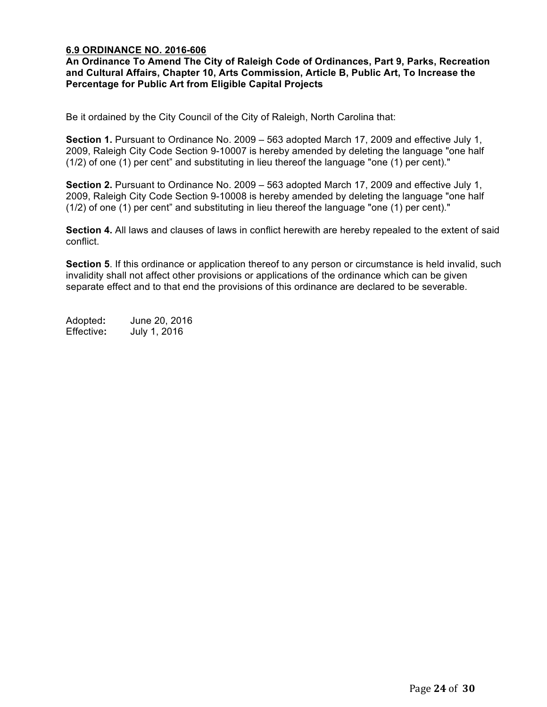#### **6.9 ORDINANCE NO. 2016-606**

**An Ordinance To Amend The City of Raleigh Code of Ordinances, Part 9, Parks, Recreation and Cultural Affairs, Chapter 10, Arts Commission, Article B, Public Art, To Increase the Percentage for Public Art from Eligible Capital Projects**

Be it ordained by the City Council of the City of Raleigh, North Carolina that:

**Section 1.** Pursuant to Ordinance No. 2009 – 563 adopted March 17, 2009 and effective July 1, 2009, Raleigh City Code Section 9-10007 is hereby amended by deleting the language "one half (1/2) of one (1) per cent" and substituting in lieu thereof the language "one (1) per cent)."

**Section 2.** Pursuant to Ordinance No. 2009 – 563 adopted March 17, 2009 and effective July 1, 2009, Raleigh City Code Section 9-10008 is hereby amended by deleting the language "one half (1/2) of one (1) per cent" and substituting in lieu thereof the language "one (1) per cent)."

**Section 4.** All laws and clauses of laws in conflict herewith are hereby repealed to the extent of said conflict.

**Section 5**. If this ordinance or application thereof to any person or circumstance is held invalid, such invalidity shall not affect other provisions or applications of the ordinance which can be given separate effect and to that end the provisions of this ordinance are declared to be severable.

Adopted**:** June 20, 2016 Effective**:** July 1, 2016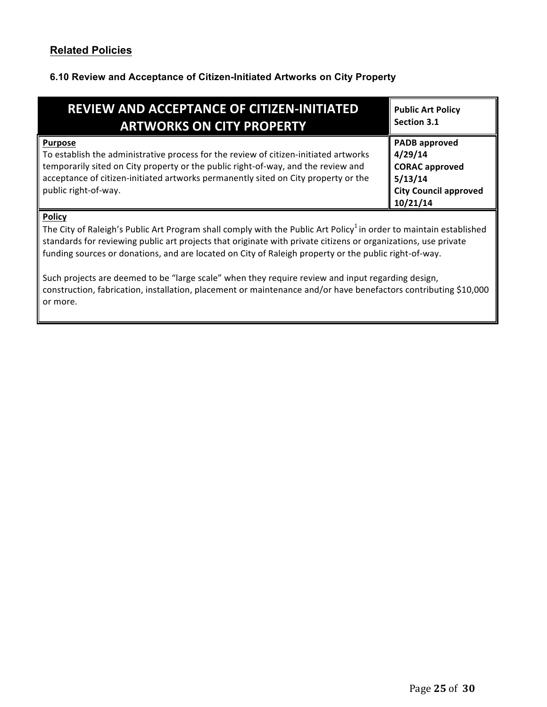# **6.10 Review and Acceptance of Citizen-Initiated Artworks on City Property**

| <b>REVIEW AND ACCEPTANCE OF CITIZEN-INITIATED</b><br><b>ARTWORKS ON CITY PROPERTY</b>                                                                                                                                                                                                                     | <b>Public Art Policy</b><br>Section 3.1                                                                         |
|-----------------------------------------------------------------------------------------------------------------------------------------------------------------------------------------------------------------------------------------------------------------------------------------------------------|-----------------------------------------------------------------------------------------------------------------|
| <b>Purpose</b><br>To establish the administrative process for the review of citizen-initiated artworks<br>temporarily sited on City property or the public right-of-way, and the review and<br>acceptance of citizen-initiated artworks permanently sited on City property or the<br>public right-of-way. | <b>PADB</b> approved<br>4/29/14<br><b>CORAC approved</b><br>5/13/14<br><b>City Council approved</b><br>10/21/14 |
| <b>Policy</b>                                                                                                                                                                                                                                                                                             |                                                                                                                 |

The City of Raleigh's Public Art Program shall comply with the Public Art Policy<sup>1</sup> in order to maintain established standards for reviewing public art projects that originate with private citizens or organizations, use private funding sources or donations, and are located on City of Raleigh property or the public right-of-way.

Such projects are deemed to be "large scale" when they require review and input regarding design, construction, fabrication, installation, placement or maintenance and/or have benefactors contributing \$10,000 or more.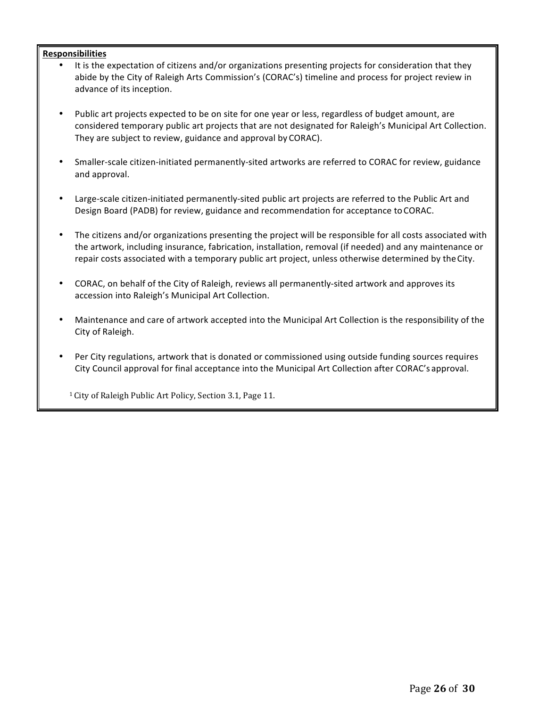#### **Responsibilities**

- It is the expectation of citizens and/or organizations presenting projects for consideration that they abide by the City of Raleigh Arts Commission's (CORAC's) timeline and process for project review in advance of its inception.
- Public art projects expected to be on site for one year or less, regardless of budget amount, are considered temporary public art projects that are not designated for Raleigh's Municipal Art Collection. They are subject to review, guidance and approval by CORAC).
- Smaller-scale citizen-initiated permanently-sited artworks are referred to CORAC for review, guidance and approval.
- Large-scale citizen-initiated permanently-sited public art projects are referred to the Public Art and Design Board (PADB) for review, guidance and recommendation for acceptance to CORAC.
- The citizens and/or organizations presenting the project will be responsible for all costs associated with the artwork, including insurance, fabrication, installation, removal (if needed) and any maintenance or repair costs associated with a temporary public art project, unless otherwise determined by the City.
- CORAC, on behalf of the City of Raleigh, reviews all permanently-sited artwork and approves its accession into Raleigh's Municipal Art Collection.
- Maintenance and care of artwork accepted into the Municipal Art Collection is the responsibility of the City of Raleigh.
- Per City regulations, artwork that is donated or commissioned using outside funding sources requires City Council approval for final acceptance into the Municipal Art Collection after CORAC's approval.

<sup>1</sup> City of Raleigh Public Art Policy, Section 3.1, Page 11.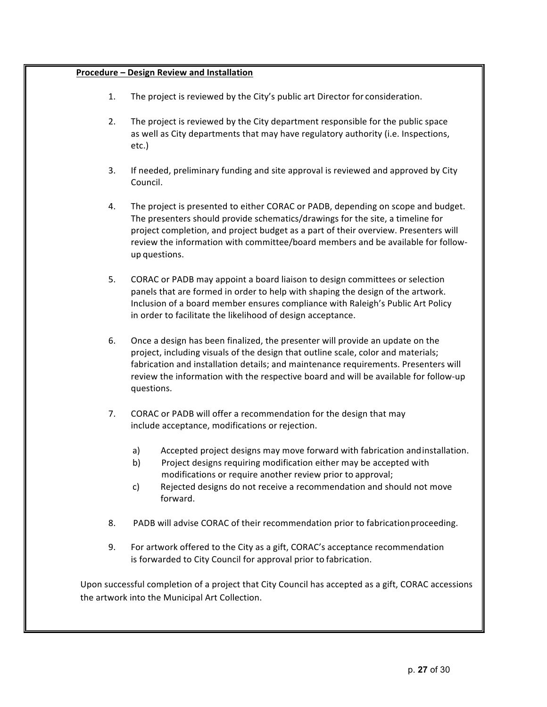|    | Procedure - Design Review and Installation                                                                                                                                                                                                                                                                                                                      |
|----|-----------------------------------------------------------------------------------------------------------------------------------------------------------------------------------------------------------------------------------------------------------------------------------------------------------------------------------------------------------------|
| 1. | The project is reviewed by the City's public art Director for consideration.                                                                                                                                                                                                                                                                                    |
| 2. | The project is reviewed by the City department responsible for the public space<br>as well as City departments that may have regulatory authority (i.e. Inspections,<br>etc.)                                                                                                                                                                                   |
| 3. | If needed, preliminary funding and site approval is reviewed and approved by City<br>Council.                                                                                                                                                                                                                                                                   |
| 4. | The project is presented to either CORAC or PADB, depending on scope and budget.<br>The presenters should provide schematics/drawings for the site, a timeline for<br>project completion, and project budget as a part of their overview. Presenters will<br>review the information with committee/board members and be available for follow-<br>up questions.  |
| 5. | CORAC or PADB may appoint a board liaison to design committees or selection<br>panels that are formed in order to help with shaping the design of the artwork.<br>Inclusion of a board member ensures compliance with Raleigh's Public Art Policy<br>in order to facilitate the likelihood of design acceptance.                                                |
| 6. | Once a design has been finalized, the presenter will provide an update on the<br>project, including visuals of the design that outline scale, color and materials;<br>fabrication and installation details; and maintenance requirements. Presenters will<br>review the information with the respective board and will be available for follow-up<br>questions. |
| 7. | CORAC or PADB will offer a recommendation for the design that may<br>include acceptance, modifications or rejection.                                                                                                                                                                                                                                            |
|    | Accepted project designs may move forward with fabrication and installation.<br>a)<br>b)<br>Project designs requiring modification either may be accepted with<br>modifications or require another review prior to approval;<br>Rejected designs do not receive a recommendation and should not move<br>c)<br>forward.                                          |
| 8. | PADB will advise CORAC of their recommendation prior to fabrication proceeding.                                                                                                                                                                                                                                                                                 |
| 9. | For artwork offered to the City as a gift, CORAC's acceptance recommendation<br>is forwarded to City Council for approval prior to fabrication.                                                                                                                                                                                                                 |
|    | Upon successful completion of a project that City Council has accepted as a gift, CORAC accessions<br>the artwork into the Municipal Art Collection.                                                                                                                                                                                                            |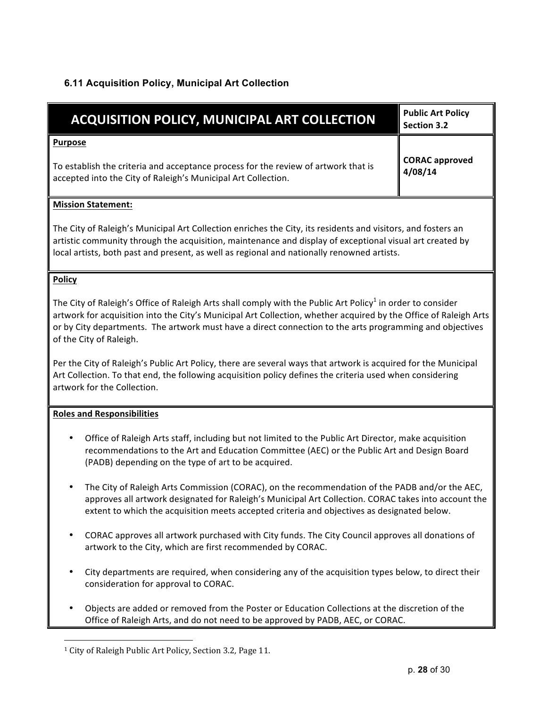# **6.11 Acquisition Policy, Municipal Art Collection**

| <b>ACQUISITION POLICY, MUNICIPAL ART COLLECTION</b>                                                                                                                                                                                                                                                                                                    | <b>Public Art Policy</b><br><b>Section 3.2</b> |
|--------------------------------------------------------------------------------------------------------------------------------------------------------------------------------------------------------------------------------------------------------------------------------------------------------------------------------------------------------|------------------------------------------------|
| <b>Purpose</b>                                                                                                                                                                                                                                                                                                                                         |                                                |
| To establish the criteria and acceptance process for the review of artwork that is<br>accepted into the City of Raleigh's Municipal Art Collection.                                                                                                                                                                                                    | <b>CORAC approved</b><br>4/08/14               |
| <b>Mission Statement:</b>                                                                                                                                                                                                                                                                                                                              |                                                |
| The City of Raleigh's Municipal Art Collection enriches the City, its residents and visitors, and fosters an<br>artistic community through the acquisition, maintenance and display of exceptional visual art created by<br>local artists, both past and present, as well as regional and nationally renowned artists.                                 |                                                |
| <b>Policy</b>                                                                                                                                                                                                                                                                                                                                          |                                                |
| The City of Raleigh's Office of Raleigh Arts shall comply with the Public Art Policy <sup>1</sup> in order to consider<br>artwork for acquisition into the City's Municipal Art Collection, whether acquired by the Office of Raleigh Arts<br>or by City departments. The artwork must have a direct connection to the arts programming and objectives |                                                |

Per the City of Raleigh's Public Art Policy, there are several ways that artwork is acquired for the Municipal Art Collection. To that end, the following acquisition policy defines the criteria used when considering artwork for the Collection.

#### **Roles and Responsibilities**

 $\overline{a}$ 

of the City of Raleigh.

- Office of Raleigh Arts staff, including but not limited to the Public Art Director, make acquisition recommendations to the Art and Education Committee (AEC) or the Public Art and Design Board (PADB) depending on the type of art to be acquired.
- The City of Raleigh Arts Commission (CORAC), on the recommendation of the PADB and/or the AEC, approves all artwork designated for Raleigh's Municipal Art Collection. CORAC takes into account the extent to which the acquisition meets accepted criteria and objectives as designated below.
- CORAC approves all artwork purchased with City funds. The City Council approves all donations of artwork to the City, which are first recommended by CORAC.
- City departments are required, when considering any of the acquisition types below, to direct their consideration for approval to CORAC.
- Objects are added or removed from the Poster or Education Collections at the discretion of the Office of Raleigh Arts, and do not need to be approved by PADB, AEC, or CORAC.

<sup>&</sup>lt;sup>1</sup> City of Raleigh Public Art Policy, Section 3.2, Page 11.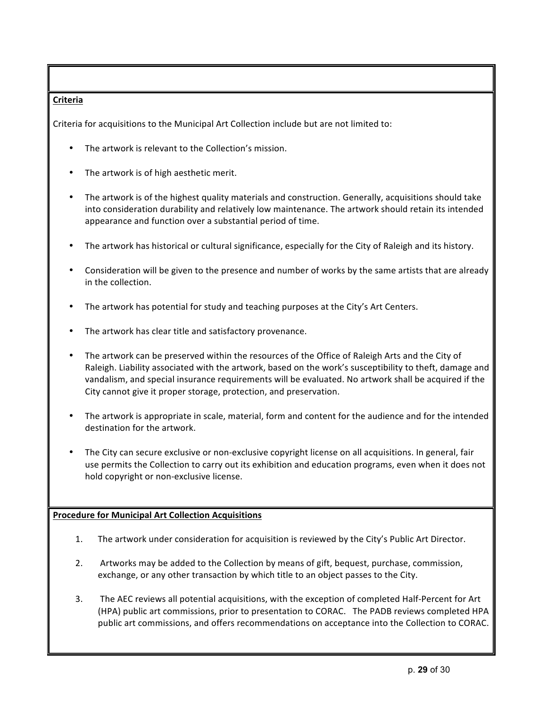#### **Criteria**

Criteria for acquisitions to the Municipal Art Collection include but are not limited to:

- The artwork is relevant to the Collection's mission.
- The artwork is of high aesthetic merit.
- The artwork is of the highest quality materials and construction. Generally, acquisitions should take into consideration durability and relatively low maintenance. The artwork should retain its intended appearance and function over a substantial period of time.
- The artwork has historical or cultural significance, especially for the City of Raleigh and its history.
- Consideration will be given to the presence and number of works by the same artists that are already in the collection.
- The artwork has potential for study and teaching purposes at the City's Art Centers.
- The artwork has clear title and satisfactory provenance.
- The artwork can be preserved within the resources of the Office of Raleigh Arts and the City of Raleigh. Liability associated with the artwork, based on the work's susceptibility to theft, damage and vandalism, and special insurance requirements will be evaluated. No artwork shall be acquired if the City cannot give it proper storage, protection, and preservation.
- The artwork is appropriate in scale, material, form and content for the audience and for the intended destination for the artwork.
- The City can secure exclusive or non-exclusive copyright license on all acquisitions. In general, fair use permits the Collection to carry out its exhibition and education programs, even when it does not hold copyright or non-exclusive license.

#### **Procedure for Municipal Art Collection Acquisitions**

- 1. The artwork under consideration for acquisition is reviewed by the City's Public Art Director.
- 2. Artworks may be added to the Collection by means of gift, bequest, purchase, commission, exchange, or any other transaction by which title to an object passes to the City.
- 3. The AEC reviews all potential acquisitions, with the exception of completed Half-Percent for Art (HPA) public art commissions, prior to presentation to CORAC. The PADB reviews completed HPA public art commissions, and offers recommendations on acceptance into the Collection to CORAC.